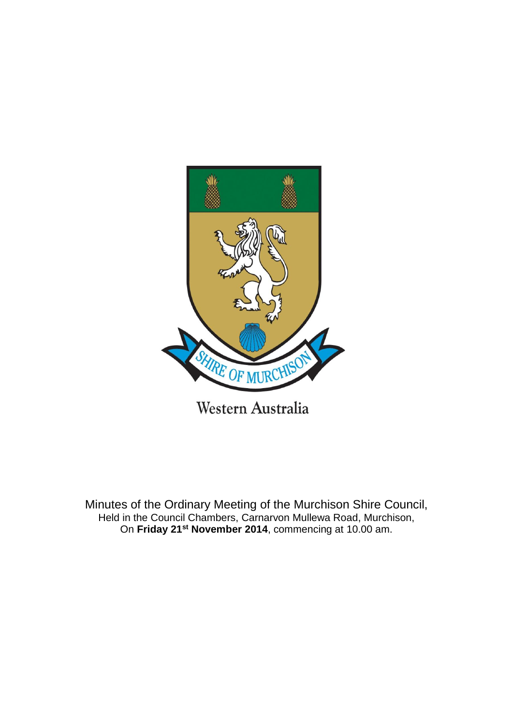

Minutes of the Ordinary Meeting of the Murchison Shire Council, Held in the Council Chambers, Carnarvon Mullewa Road, Murchison, On **Friday 21st November 2014**, commencing at 10.00 am.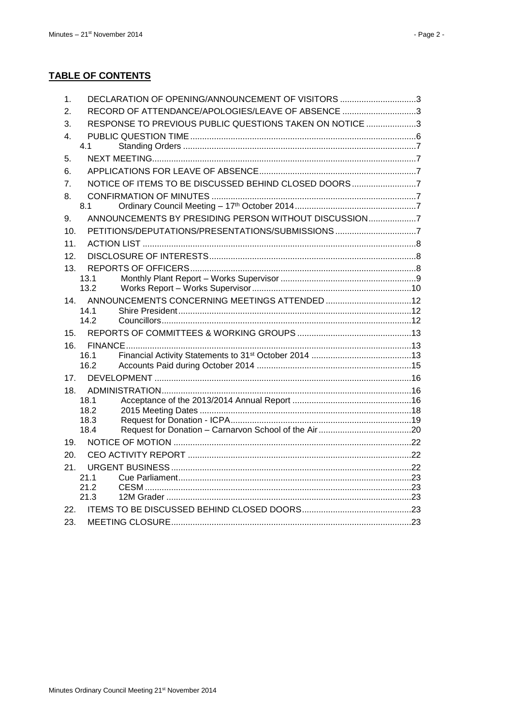#### **TABLE OF CONTENTS**

| 1.              | DECLARATION OF OPENING/ANNOUNCEMENT OF VISITORS 3       |  |
|-----------------|---------------------------------------------------------|--|
| 2.              | RECORD OF ATTENDANCE/APOLOGIES/LEAVE OF ABSENCE 3       |  |
| 3.              | RESPONSE TO PREVIOUS PUBLIC QUESTIONS TAKEN ON NOTICE 3 |  |
| 4.              |                                                         |  |
|                 | 4.1                                                     |  |
| 5.              |                                                         |  |
| 6.              |                                                         |  |
| 7 <sub>1</sub>  | NOTICE OF ITEMS TO BE DISCUSSED BEHIND CLOSED DOORS7    |  |
| 8.              |                                                         |  |
|                 | 8.1                                                     |  |
| 9.              | ANNOUNCEMENTS BY PRESIDING PERSON WITHOUT DISCUSSION7   |  |
| 10.             | PETITIONS/DEPUTATIONS/PRESENTATIONS/SUBMISSIONS 7       |  |
| 11.             |                                                         |  |
| 12.             |                                                         |  |
| 13.             |                                                         |  |
|                 | 13.1                                                    |  |
|                 | 13.2                                                    |  |
| 14.             |                                                         |  |
|                 | 14.1                                                    |  |
|                 | 142                                                     |  |
| 15.             |                                                         |  |
| 16.             |                                                         |  |
|                 | 16.1<br>16.2                                            |  |
|                 |                                                         |  |
| 17 <sub>1</sub> |                                                         |  |
| 18.             | 18.1                                                    |  |
|                 | 18.2                                                    |  |
|                 | 18.3                                                    |  |
|                 | 18.4                                                    |  |
| 19.             |                                                         |  |
| 20.             |                                                         |  |
| 21.             |                                                         |  |
|                 | 21.1                                                    |  |
|                 | 21 2                                                    |  |
|                 | 21.3                                                    |  |
| 22.             |                                                         |  |
| 23.             |                                                         |  |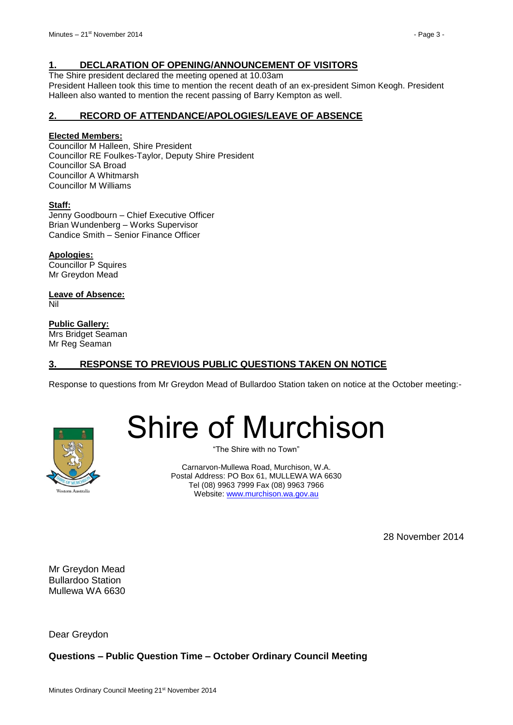#### <span id="page-2-0"></span>**1. DECLARATION OF OPENING/ANNOUNCEMENT OF VISITORS**

The Shire president declared the meeting opened at 10.03am

President Halleen took this time to mention the recent death of an ex-president Simon Keogh. President Halleen also wanted to mention the recent passing of Barry Kempton as well.

#### <span id="page-2-1"></span>**2. RECORD OF ATTENDANCE/APOLOGIES/LEAVE OF ABSENCE**

#### **Elected Members:**

Councillor M Halleen, Shire President Councillor RE Foulkes-Taylor, Deputy Shire President Councillor SA Broad Councillor A Whitmarsh Councillor M Williams

#### **Staff:**

Jenny Goodbourn – Chief Executive Officer Brian Wundenberg – Works Supervisor Candice Smith – Senior Finance Officer

**Apologies:** Councillor P Squires Mr Greydon Mead

**Leave of Absence:** Nil

**Public Gallery:** Mrs Bridget Seaman Mr Reg Seaman

#### <span id="page-2-2"></span>**3. RESPONSE TO PREVIOUS PUBLIC QUESTIONS TAKEN ON NOTICE**

Response to questions from Mr Greydon Mead of Bullardoo Station taken on notice at the October meeting:-



# Shire of Murchison

"The Shire with no Town"

Carnarvon-Mullewa Road, Murchison, W.A. Postal Address: PO Box 61, MULLEWA WA 6630 Tel (08) 9963 7999 Fax (08) 9963 7966 Website: [www.murchison.wa.gov.au](http://www.murchison.wa.gov.au/)

28 November 2014

Mr Greydon Mead Bullardoo Station Mullewa WA 6630

Dear Greydon

**Questions – Public Question Time – October Ordinary Council Meeting**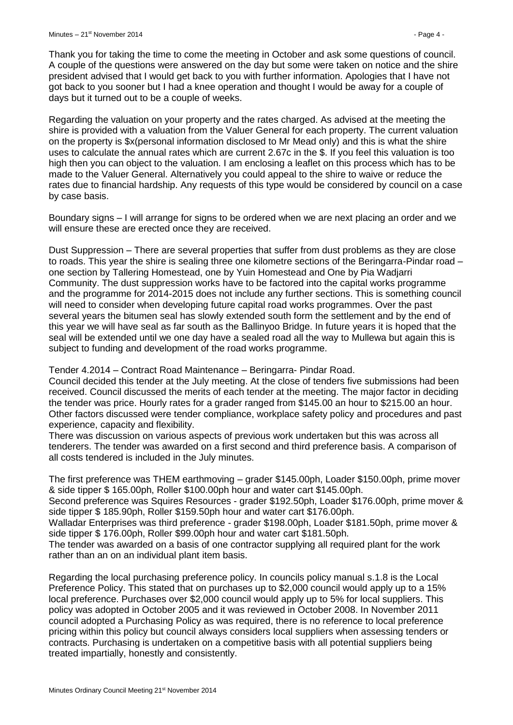Thank you for taking the time to come the meeting in October and ask some questions of council. A couple of the questions were answered on the day but some were taken on notice and the shire president advised that I would get back to you with further information. Apologies that I have not got back to you sooner but I had a knee operation and thought I would be away for a couple of days but it turned out to be a couple of weeks.

Regarding the valuation on your property and the rates charged. As advised at the meeting the shire is provided with a valuation from the Valuer General for each property. The current valuation on the property is \$x(personal information disclosed to Mr Mead only) and this is what the shire uses to calculate the annual rates which are current 2.67c in the \$. If you feel this valuation is too high then you can object to the valuation. I am enclosing a leaflet on this process which has to be made to the Valuer General. Alternatively you could appeal to the shire to waive or reduce the rates due to financial hardship. Any requests of this type would be considered by council on a case by case basis.

Boundary signs – I will arrange for signs to be ordered when we are next placing an order and we will ensure these are erected once they are received.

Dust Suppression – There are several properties that suffer from dust problems as they are close to roads. This year the shire is sealing three one kilometre sections of the Beringarra-Pindar road – one section by Tallering Homestead, one by Yuin Homestead and One by Pia Wadjarri Community. The dust suppression works have to be factored into the capital works programme and the programme for 2014-2015 does not include any further sections. This is something council will need to consider when developing future capital road works programmes. Over the past several years the bitumen seal has slowly extended south form the settlement and by the end of this year we will have seal as far south as the Ballinyoo Bridge. In future years it is hoped that the seal will be extended until we one day have a sealed road all the way to Mullewa but again this is subject to funding and development of the road works programme.

Tender 4.2014 – Contract Road Maintenance – Beringarra- Pindar Road.

Council decided this tender at the July meeting. At the close of tenders five submissions had been received. Council discussed the merits of each tender at the meeting. The major factor in deciding the tender was price. Hourly rates for a grader ranged from \$145.00 an hour to \$215.00 an hour. Other factors discussed were tender compliance, workplace safety policy and procedures and past experience, capacity and flexibility.

There was discussion on various aspects of previous work undertaken but this was across all tenderers. The tender was awarded on a first second and third preference basis. A comparison of all costs tendered is included in the July minutes.

The first preference was THEM earthmoving – grader \$145.00ph, Loader \$150.00ph, prime mover & side tipper \$ 165.00ph, Roller \$100.00ph hour and water cart \$145.00ph.

Second preference was Squires Resources - grader \$192.50ph, Loader \$176.00ph, prime mover & side tipper \$ 185.90ph, Roller \$159.50ph hour and water cart \$176.00ph.

Walladar Enterprises was third preference - grader \$198.00ph, Loader \$181.50ph, prime mover & side tipper \$ 176.00ph, Roller \$99.00ph hour and water cart \$181.50ph.

The tender was awarded on a basis of one contractor supplying all required plant for the work rather than an on an individual plant item basis.

Regarding the local purchasing preference policy. In councils policy manual s.1.8 is the Local Preference Policy. This stated that on purchases up to \$2,000 council would apply up to a 15% local preference. Purchases over \$2,000 council would apply up to 5% for local suppliers. This policy was adopted in October 2005 and it was reviewed in October 2008. In November 2011 council adopted a Purchasing Policy as was required, there is no reference to local preference pricing within this policy but council always considers local suppliers when assessing tenders or contracts. Purchasing is undertaken on a competitive basis with all potential suppliers being treated impartially, honestly and consistently.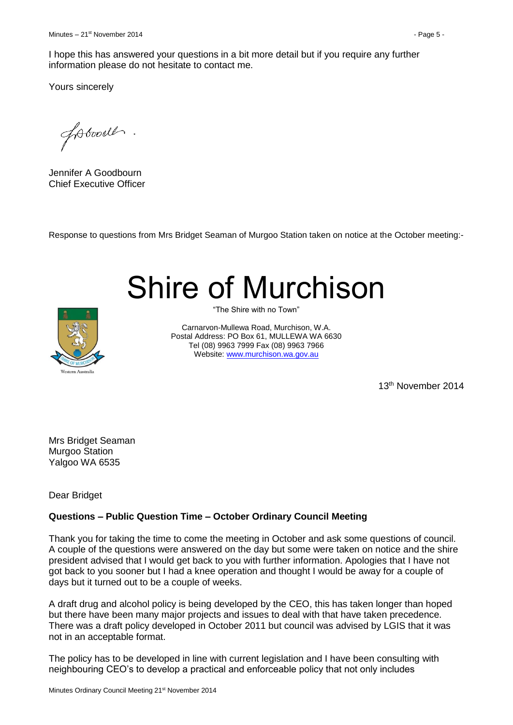Yours sincerely

fobood.

Jennifer A Goodbourn Chief Executive Officer

Response to questions from Mrs Bridget Seaman of Murgoo Station taken on notice at the October meeting:-

# Shire of Murchison



"The Shire with no Town"

Carnarvon-Mullewa Road, Murchison, W.A. Postal Address: PO Box 61, MULLEWA WA 6630 Tel (08) 9963 7999 Fax (08) 9963 7966 Website: [www.murchison.wa.gov.au](http://www.murchison.wa.gov.au/)

13th November 2014

Mrs Bridget Seaman Murgoo Station Yalgoo WA 6535

Dear Bridget

#### **Questions – Public Question Time – October Ordinary Council Meeting**

Thank you for taking the time to come the meeting in October and ask some questions of council. A couple of the questions were answered on the day but some were taken on notice and the shire president advised that I would get back to you with further information. Apologies that I have not got back to you sooner but I had a knee operation and thought I would be away for a couple of days but it turned out to be a couple of weeks.

A draft drug and alcohol policy is being developed by the CEO, this has taken longer than hoped but there have been many major projects and issues to deal with that have taken precedence. There was a draft policy developed in October 2011 but council was advised by LGIS that it was not in an acceptable format.

The policy has to be developed in line with current legislation and I have been consulting with neighbouring CEO's to develop a practical and enforceable policy that not only includes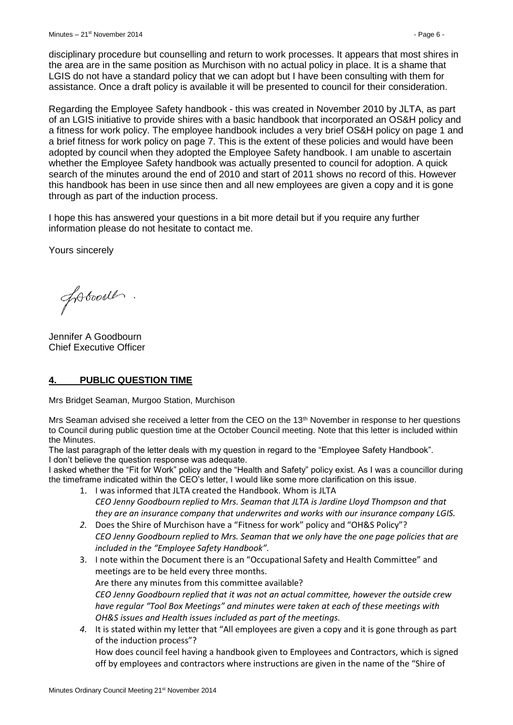disciplinary procedure but counselling and return to work processes. It appears that most shires in the area are in the same position as Murchison with no actual policy in place. It is a shame that LGIS do not have a standard policy that we can adopt but I have been consulting with them for assistance. Once a draft policy is available it will be presented to council for their consideration.

Regarding the Employee Safety handbook - this was created in November 2010 by JLTA, as part of an LGIS initiative to provide shires with a basic handbook that incorporated an OS&H policy and a fitness for work policy. The employee handbook includes a very brief OS&H policy on page 1 and a brief fitness for work policy on page 7. This is the extent of these policies and would have been adopted by council when they adopted the Employee Safety handbook. I am unable to ascertain whether the Employee Safety handbook was actually presented to council for adoption. A quick search of the minutes around the end of 2010 and start of 2011 shows no record of this. However this handbook has been in use since then and all new employees are given a copy and it is gone through as part of the induction process.

I hope this has answered your questions in a bit more detail but if you require any further information please do not hesitate to contact me.

Yours sincerely

foboodl.

Jennifer A Goodbourn Chief Executive Officer

#### <span id="page-5-0"></span>**4. PUBLIC QUESTION TIME**

Mrs Bridget Seaman, Murgoo Station, Murchison

Mrs Seaman advised she received a letter from the CEO on the 13th November in response to her questions to Council during public question time at the October Council meeting. Note that this letter is included within the Minutes.

The last paragraph of the letter deals with my question in regard to the "Employee Safety Handbook". I don't believe the question response was adequate.

I asked whether the "Fit for Work" policy and the "Health and Safety" policy exist. As I was a councillor during the timeframe indicated within the CEO's letter, I would like some more clarification on this issue.

- 1. I was informed that JLTA created the Handbook. Whom is JLTA *CEO Jenny Goodbourn replied to Mrs. Seaman that JLTA is Jardine Lloyd Thompson and that they are an insurance company that underwrites and works with our insurance company LGIS.*
- *2.* Does the Shire of Murchison have a "Fitness for work" policy and "OH&S Policy"? *CEO Jenny Goodbourn replied to Mrs. Seaman that we only have the one page policies that are included in the "Employee Safety Handbook".*
- 3. I note within the Document there is an "Occupational Safety and Health Committee" and meetings are to be held every three months. Are there any minutes from this committee available? *CEO Jenny Goodbourn replied that it was not an actual committee, however the outside crew have regular "Tool Box Meetings" and minutes were taken at each of these meetings with OH&S issues and Health issues included as part of the meetings.*
- *4.* It is stated within my letter that "All employees are given a copy and it is gone through as part of the induction process"?

How does council feel having a handbook given to Employees and Contractors, which is signed off by employees and contractors where instructions are given in the name of the "Shire of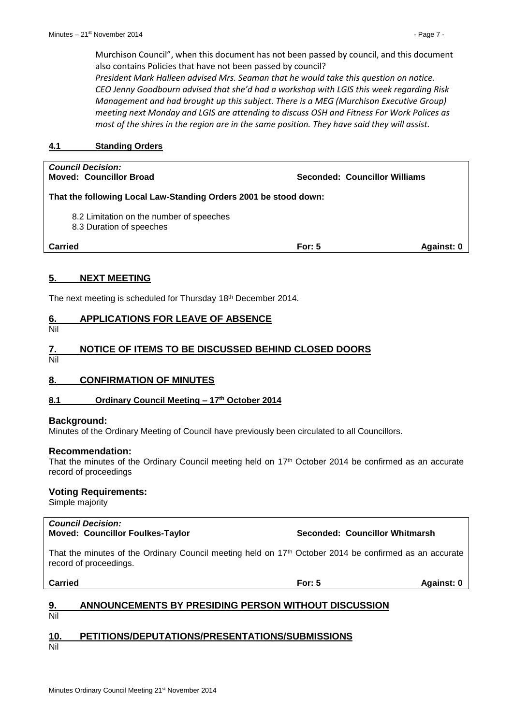Murchison Council", when this document has not been passed by council, and this document also contains Policies that have not been passed by council?

*President Mark Halleen advised Mrs. Seaman that he would take this question on notice. CEO Jenny Goodbourn advised that she'd had a workshop with LGIS this week regarding Risk Management and had brought up this subject. There is a MEG (Murchison Executive Group) meeting next Monday and LGIS are attending to discuss OSH and Fitness For Work Polices as most of the shires in the region are in the same position. They have said they will assist.*

#### <span id="page-6-0"></span>**4.1 Standing Orders**

| <b>Council Decision:</b><br>Moved: Councillor Broad                  | Seconded: Councillor Williams |            |
|----------------------------------------------------------------------|-------------------------------|------------|
| That the following Local Law-Standing Orders 2001 be stood down:     |                               |            |
| 8.2 Limitation on the number of speeches<br>8.3 Duration of speeches |                               |            |
| <b>Carried</b>                                                       | For: $5$                      | Against: 0 |

#### <span id="page-6-1"></span>**5. NEXT MEETING**

The next meeting is scheduled for Thursday 18th December 2014.

#### <span id="page-6-2"></span>**6. APPLICATIONS FOR LEAVE OF ABSENCE**

Nil

#### <span id="page-6-3"></span>**7. NOTICE OF ITEMS TO BE DISCUSSED BEHIND CLOSED DOORS**

Nil

#### <span id="page-6-4"></span>**8. CONFIRMATION OF MINUTES**

#### <span id="page-6-5"></span>**8.1 Ordinary Council Meeting – 17th October 2014**

#### **Background:**

Minutes of the Ordinary Meeting of Council have previously been circulated to all Councillors.

#### **Recommendation:**

That the minutes of the Ordinary Council meeting held on 17<sup>th</sup> October 2014 be confirmed as an accurate record of proceedings

#### **Voting Requirements:**

Simple majority

#### *Council Decision:*

**Moved: Councillor Foulkes-Taylor Seconded: Councillor Whitmarsh**

That the minutes of the Ordinary Council meeting held on 17<sup>th</sup> October 2014 be confirmed as an accurate record of proceedings.

**Carried For: 5 Against: 0**

#### <span id="page-6-6"></span>**9. ANNOUNCEMENTS BY PRESIDING PERSON WITHOUT DISCUSSION** Nil

### <span id="page-6-7"></span>**10. PETITIONS/DEPUTATIONS/PRESENTATIONS/SUBMISSIONS**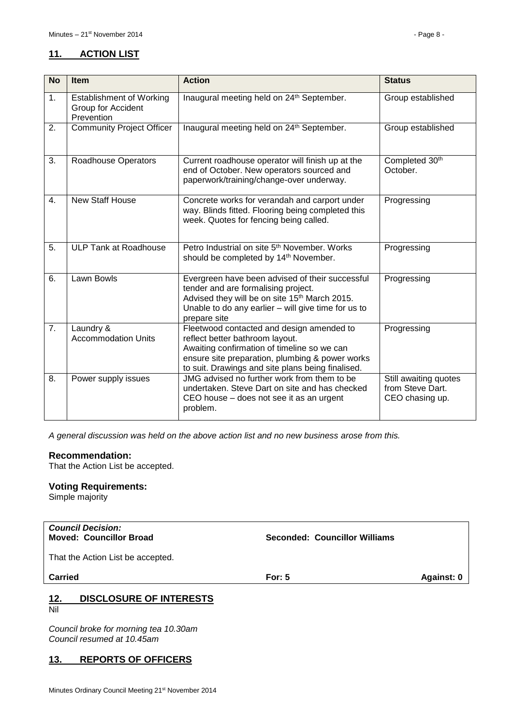#### <span id="page-7-0"></span>**11. ACTION LIST**

| <b>No</b>      | <b>Item</b>                                                         | <b>Action</b>                                                                                                                                                                                                                       | <b>Status</b>                                                |
|----------------|---------------------------------------------------------------------|-------------------------------------------------------------------------------------------------------------------------------------------------------------------------------------------------------------------------------------|--------------------------------------------------------------|
| 1 <sub>1</sub> | <b>Establishment of Working</b><br>Group for Accident<br>Prevention | Inaugural meeting held on 24th September.                                                                                                                                                                                           | Group established                                            |
| 2.             | <b>Community Project Officer</b>                                    | Inaugural meeting held on 24th September.                                                                                                                                                                                           | Group established                                            |
| 3.             | Roadhouse Operators                                                 | Current roadhouse operator will finish up at the<br>end of October. New operators sourced and<br>paperwork/training/change-over underway.                                                                                           | Completed 30th<br>October.                                   |
| $\mathbf{4}$ . | <b>New Staff House</b>                                              | Concrete works for verandah and carport under<br>way. Blinds fitted. Flooring being completed this<br>week. Quotes for fencing being called.                                                                                        | Progressing                                                  |
| 5.             | <b>ULP Tank at Roadhouse</b>                                        | Petro Industrial on site 5 <sup>th</sup> November, Works<br>should be completed by 14th November.                                                                                                                                   | Progressing                                                  |
| 6.             | Lawn Bowls                                                          | Evergreen have been advised of their successful<br>tender and are formalising project.<br>Advised they will be on site 15th March 2015.<br>Unable to do any earlier - will give time for us to<br>prepare site                      | Progressing                                                  |
| 7.             | Laundry &<br><b>Accommodation Units</b>                             | Fleetwood contacted and design amended to<br>reflect better bathroom layout.<br>Awaiting confirmation of timeline so we can<br>ensure site preparation, plumbing & power works<br>to suit. Drawings and site plans being finalised. | Progressing                                                  |
| 8.             | Power supply issues                                                 | JMG advised no further work from them to be<br>undertaken. Steve Dart on site and has checked<br>CEO house – does not see it as an urgent<br>problem.                                                                               | Still awaiting quotes<br>from Steve Dart.<br>CEO chasing up. |

*A general discussion was held on the above action list and no new business arose from this.*

#### **Recommendation:**

That the Action List be accepted.

#### **Voting Requirements:**

Simple majority

| <b>Council Decision:</b>       |  |
|--------------------------------|--|
| <b>Moved: Councillor Broad</b> |  |

**Moved: Councillor Broad Seconded: Councillor Williams**

That the Action List be accepted.

**Carried For: 5 Against: 0**

#### <span id="page-7-1"></span>**12. DISCLOSURE OF INTERESTS**  $\frac{12}{\text{Nil}}$

*Council broke for morning tea 10.30am Council resumed at 10.45am*

#### <span id="page-7-2"></span>**13. REPORTS OF OFFICERS**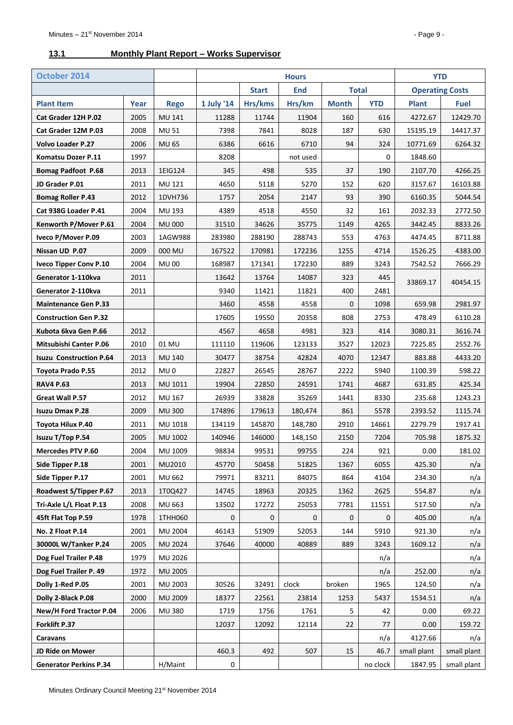#### <span id="page-8-0"></span>**13.1 Monthly Plant Report – Works Supervisor**

| October 2014                   |      |                 |                                            |         | <b>Hours</b> |                        |            | <b>YTD</b>   |             |
|--------------------------------|------|-----------------|--------------------------------------------|---------|--------------|------------------------|------------|--------------|-------------|
|                                |      |                 | <b>End</b><br><b>Total</b><br><b>Start</b> |         |              | <b>Operating Costs</b> |            |              |             |
| <b>Plant Item</b>              | Year | <b>Rego</b>     | 1 July '14                                 | Hrs/kms | Hrs/km       | <b>Month</b>           | <b>YTD</b> | <b>Plant</b> | <b>Fuel</b> |
| Cat Grader 12H P.02            | 2005 | <b>MU 141</b>   | 11288                                      | 11744   | 11904        | 160                    | 616        | 4272.67      | 12429.70    |
| Cat Grader 12M P.03            | 2008 | <b>MU 51</b>    | 7398                                       | 7841    | 8028         | 187                    | 630        | 15195.19     | 14417.37    |
| <b>Volvo Loader P.27</b>       | 2006 | <b>MU 65</b>    | 6386                                       | 6616    | 6710         | 94                     | 324        | 10771.69     | 6264.32     |
| Komatsu Dozer P.11             | 1997 |                 | 8208                                       |         | not used     |                        | 0          | 1848.60      |             |
| <b>Bomag Padfoot P.68</b>      | 2013 | 1EIG124         | 345                                        | 498     | 535          | 37                     | 190        | 2107.70      | 4266.25     |
| JD Grader P.01                 | 2011 | MU 121          | 4650                                       | 5118    | 5270         | 152                    | 620        | 3157.67      | 16103.88    |
| <b>Bomag Roller P.43</b>       | 2012 | 1DVH736         | 1757                                       | 2054    | 2147         | 93                     | 390        | 6160.35      | 5044.54     |
| Cat 938G Loader P.41           | 2004 | MU 193          | 4389                                       | 4518    | 4550         | 32                     | 161        | 2032.33      | 2772.50     |
| Kenworth P/Mover P.61          | 2004 | <b>MU 000</b>   | 31510                                      | 34626   | 35775        | 1149                   | 4265       | 3442.45      | 8833.26     |
| Iveco P/Mover P.09             | 2003 | 1AGW988         | 283980                                     | 288190  | 288743       | 553                    | 4763       | 4474.45      | 8711.88     |
| Nissan UD P.07                 | 2009 | 000 MU          | 167522                                     | 170981  | 172236       | 1255                   | 4714       | 1526.25      | 4383.00     |
| <b>Iveco Tipper Conv P.10</b>  | 2004 | <b>MU 00</b>    | 168987                                     | 171341  | 172230       | 889                    | 3243       | 7542.52      | 7666.29     |
| Generator 1-110kva             | 2011 |                 | 13642                                      | 13764   | 14087        | 323                    | 445        | 33869.17     | 40454.15    |
| Generator 2-110kva             | 2011 |                 | 9340                                       | 11421   | 11821        | 400                    | 2481       |              |             |
| <b>Maintenance Gen P.33</b>    |      |                 | 3460                                       | 4558    | 4558         | 0                      | 1098       | 659.98       | 2981.97     |
| <b>Construction Gen P.32</b>   |      |                 | 17605                                      | 19550   | 20358        | 808                    | 2753       | 478.49       | 6110.28     |
| Kubota 6kva Gen P.66           | 2012 |                 | 4567                                       | 4658    | 4981         | 323                    | 414        | 3080.31      | 3616.74     |
| <b>Mitsubishi Canter P.06</b>  | 2010 | 01 MU           | 111110                                     | 119606  | 123133       | 3527                   | 12023      | 7225.85      | 2552.76     |
| <b>Isuzu Construction P.64</b> | 2013 | <b>MU 140</b>   | 30477                                      | 38754   | 42824        | 4070                   | 12347      | 883.88       | 4433.20     |
| <b>Toyota Prado P.55</b>       | 2012 | MU <sub>0</sub> | 22827                                      | 26545   | 28767        | 2222                   | 5940       | 1100.39      | 598.22      |
| <b>RAV4 P.63</b>               | 2013 | MU 1011         | 19904                                      | 22850   | 24591        | 1741                   | 4687       | 631.85       | 425.34      |
| Great Wall P.57                | 2012 | MU 167          | 26939                                      | 33828   | 35269        | 1441                   | 8330       | 235.68       | 1243.23     |
| <b>Isuzu Dmax P.28</b>         | 2009 | <b>MU 300</b>   | 174896                                     | 179613  | 180,474      | 861                    | 5578       | 2393.52      | 1115.74     |
| Toyota Hilux P.40              | 2011 | MU 1018         | 134119                                     | 145870  | 148,780      | 2910                   | 14661      | 2279.79      | 1917.41     |
| Isuzu T/Top P.54               | 2005 | MU 1002         | 140946                                     | 146000  | 148,150      | 2150                   | 7204       | 705.98       | 1875.32     |
| Mercedes PTV P.60              | 2004 | MU 1009         | 98834                                      | 99531   | 99755        | 224                    | 921        | 0.00         | 181.02      |
| Side Tipper P.18               | 2001 | MU2010          | 45770                                      | 50458   | 51825        | 1367                   | 6055       | 425.30       | n/a         |
| Side Tipper P.17               | 2001 | MU 662          | 79971                                      | 83211   | 84075        | 864                    | 4104       | 234.30       | n/a         |
| Roadwest S/Tipper P.67         | 2013 | 1T0Q427         | 14745                                      | 18963   | 20325        | 1362                   | 2625       | 554.87       | n/a         |
| Tri-Axle L/L Float P.13        | 2008 | MU 663          | 13502                                      | 17272   | 25053        | 7781                   | 11551      | 517.50       | n/a         |
| 45ft Flat Top P.59             | 1978 | 1THH060         | 0                                          | 0       | 0            | 0                      | 0          | 405.00       | n/a         |
| No. 2 Float P.14               | 2001 | MU 2004         | 46143                                      | 51909   | 52053        | 144                    | 5910       | 921.30       | n/a         |
| 30000L W/Tanker P.24           | 2005 | MU 2024         | 37646                                      | 40000   | 40889        | 889                    | 3243       | 1609.12      | n/a         |
| Dog Fuel Trailer P.48          | 1979 | MU 2026         |                                            |         |              |                        | n/a        |              | n/a         |
| Dog Fuel Trailer P. 49         | 1972 | MU 2005         |                                            |         |              |                        | n/a        | 252.00       | n/a         |
| Dolly 1-Red P.05               | 2001 | MU 2003         | 30526                                      | 32491   | clock        | broken                 | 1965       | 124.50       | n/a         |
| Dolly 2-Black P.08             | 2000 | MU 2009         | 18377                                      | 22561   | 23814        | 1253                   | 5437       | 1534.51      | n/a         |
| New/H Ford Tractor P.04        | 2006 | <b>MU 380</b>   | 1719                                       | 1756    | 1761         | 5                      | 42         | 0.00         | 69.22       |
| Forklift P.37                  |      |                 | 12037                                      | 12092   | 12114        | 22                     | 77         | 0.00         | 159.72      |
| Caravans                       |      |                 |                                            |         |              |                        | n/a        | 4127.66      | n/a         |
| JD Ride on Mower               |      |                 | 460.3                                      | 492     | 507          | 15                     | 46.7       | small plant  | small plant |
| <b>Generator Perkins P.34</b>  |      | H/Maint         | 0                                          |         |              |                        | no clock   | 1847.95      | small plant |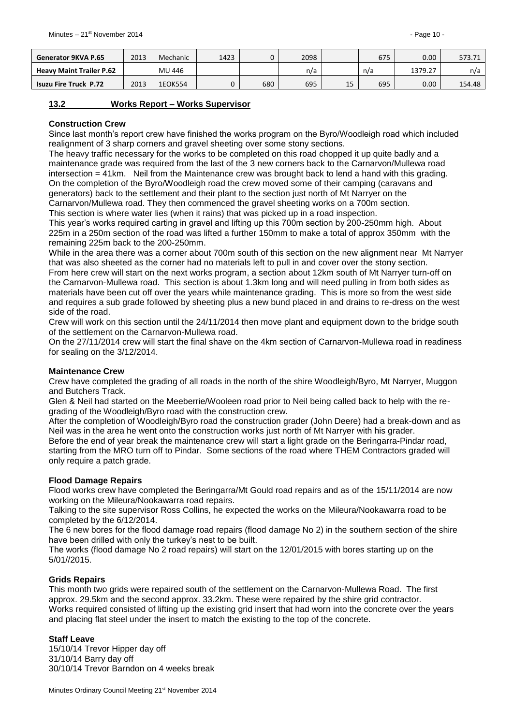| Generator 9KVA P.65             | 2013 | Mechanic | 1423 |     | 2098 |    | 675 | $0.00\,$ | 573.71 |
|---------------------------------|------|----------|------|-----|------|----|-----|----------|--------|
| <b>Heavy Maint Trailer P.62</b> |      | MU 446   |      |     | n/a  |    | n/a | 1379.27  | n/a    |
| <b>Isuzu Fire Truck P.72</b>    | 2013 | 1EOK554  |      | 680 | 695  | 15 | 695 | $0.00\,$ | 154.48 |

#### <span id="page-9-0"></span>**13.2 Works Report – Works Supervisor**

#### **Construction Crew**

Since last month's report crew have finished the works program on the Byro/Woodleigh road which included realignment of 3 sharp corners and gravel sheeting over some stony sections.

The heavy traffic necessary for the works to be completed on this road chopped it up quite badly and a maintenance grade was required from the last of the 3 new corners back to the Carnarvon/Mullewa road intersection = 41km. Neil from the Maintenance crew was brought back to lend a hand with this grading. On the completion of the Byro/Woodleigh road the crew moved some of their camping (caravans and generators) back to the settlement and their plant to the section just north of Mt Narryer on the Carnarvon/Mullewa road. They then commenced the gravel sheeting works on a 700m section.

This section is where water lies (when it rains) that was picked up in a road inspection.

This year's works required carting in gravel and lifting up this 700m section by 200-250mm high. About 225m in a 250m section of the road was lifted a further 150mm to make a total of approx 350mm with the remaining 225m back to the 200-250mm.

While in the area there was a corner about 700m south of this section on the new alignment near Mt Narryer that was also sheeted as the corner had no materials left to pull in and cover over the stony section. From here crew will start on the next works program, a section about 12km south of Mt Narryer turn-off on the Carnarvon-Mullewa road. This section is about 1.3km long and will need pulling in from both sides as materials have been cut off over the years while maintenance grading. This is more so from the west side and requires a sub grade followed by sheeting plus a new bund placed in and drains to re-dress on the west side of the road.

Crew will work on this section until the 24/11/2014 then move plant and equipment down to the bridge south of the settlement on the Carnarvon-Mullewa road.

On the 27/11/2014 crew will start the final shave on the 4km section of Carnarvon-Mullewa road in readiness for sealing on the 3/12/2014.

#### **Maintenance Crew**

Crew have completed the grading of all roads in the north of the shire Woodleigh/Byro, Mt Narryer, Muggon and Butchers Track.

Glen & Neil had started on the Meeberrie/Wooleen road prior to Neil being called back to help with the regrading of the Woodleigh/Byro road with the construction crew.

After the completion of Woodleigh/Byro road the construction grader (John Deere) had a break-down and as Neil was in the area he went onto the construction works just north of Mt Narryer with his grader.

Before the end of year break the maintenance crew will start a light grade on the Beringarra-Pindar road, starting from the MRO turn off to Pindar. Some sections of the road where THEM Contractors graded will only require a patch grade.

#### **Flood Damage Repairs**

Flood works crew have completed the Beringarra/Mt Gould road repairs and as of the 15/11/2014 are now working on the Mileura/Nookawarra road repairs.

Talking to the site supervisor Ross Collins, he expected the works on the Mileura/Nookawarra road to be completed by the 6/12/2014.

The 6 new bores for the flood damage road repairs (flood damage No 2) in the southern section of the shire have been drilled with only the turkey's nest to be built.

The works (flood damage No 2 road repairs) will start on the 12/01/2015 with bores starting up on the 5/01//2015.

#### **Grids Repairs**

This month two grids were repaired south of the settlement on the Carnarvon-Mullewa Road. The first approx. 29.5km and the second approx. 33.2km. These were repaired by the shire grid contractor. Works required consisted of lifting up the existing grid insert that had worn into the concrete over the years and placing flat steel under the insert to match the existing to the top of the concrete.

#### **Staff Leave**

15/10/14 Trevor Hipper day off 31/10/14 Barry day off 30/10/14 Trevor Barndon on 4 weeks break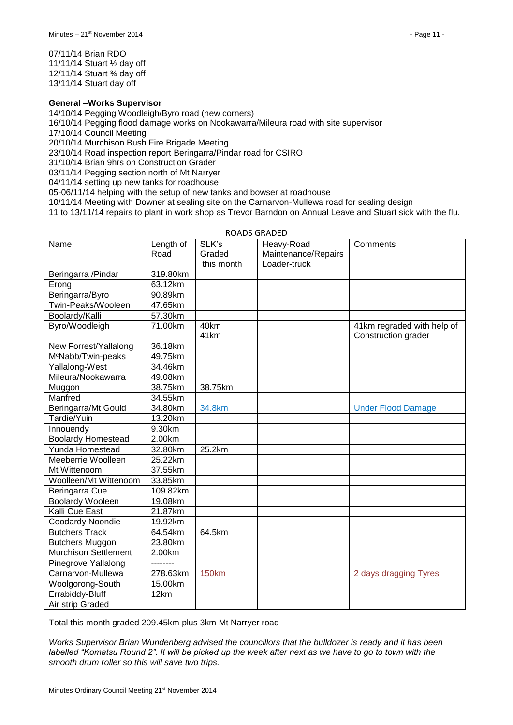07/11/14 Brian RDO 11/11/14 Stuart ½ day off 12/11/14 Stuart ¾ day off 13/11/14 Stuart day off

#### **General –Works Supervisor**

14/10/14 Pegging Woodleigh/Byro road (new corners)

16/10/14 Pegging flood damage works on Nookawarra/Mileura road with site supervisor

17/10/14 Council Meeting

20/10/14 Murchison Bush Fire Brigade Meeting

23/10/14 Road inspection report Beringarra/Pindar road for CSIRO

31/10/14 Brian 9hrs on Construction Grader

03/11/14 Pegging section north of Mt Narryer

04/11/14 setting up new tanks for roadhouse

05-06/11/14 helping with the setup of new tanks and bowser at roadhouse

10/11/14 Meeting with Downer at sealing site on the Carnarvon-Mullewa road for sealing design

11 to 13/11/14 repairs to plant in work shop as Trevor Barndon on Annual Leave and Stuart sick with the flu.

| Name                           | Length of | SLK's        | Heavy-Road          | Comments                   |
|--------------------------------|-----------|--------------|---------------------|----------------------------|
|                                | Road      | Graded       | Maintenance/Repairs |                            |
|                                |           | this month   | Loader-truck        |                            |
| Beringarra / Pindar            | 319.80km  |              |                     |                            |
| Erong                          | 63.12km   |              |                     |                            |
| Beringarra/Byro                | 90.89km   |              |                     |                            |
| Twin-Peaks/Wooleen             | 47.65km   |              |                     |                            |
| Boolardy/Kalli                 | 57.30km   |              |                     |                            |
| Byro/Woodleigh                 | 71.00km   | 40km         |                     | 41km regraded with help of |
|                                |           | 41km         |                     | Construction grader        |
| New Forrest/Yallalong          | 36.18km   |              |                     |                            |
| M <sup>c</sup> Nabb/Twin-peaks | 49.75km   |              |                     |                            |
| Yallalong-West                 | 34.46km   |              |                     |                            |
| Mileura/Nookawarra             | 49.08km   |              |                     |                            |
| Muggon                         | 38.75km   | 38.75km      |                     |                            |
| Manfred                        | 34.55km   |              |                     |                            |
| Beringarra/Mt Gould            | 34.80km   | 34.8km       |                     | <b>Under Flood Damage</b>  |
| Tardie/Yuin                    | 13.20km   |              |                     |                            |
| Innouendy                      | 9.30km    |              |                     |                            |
| <b>Boolardy Homestead</b>      | 2.00km    |              |                     |                            |
| Yunda Homestead                | 32.80km   | 25.2km       |                     |                            |
| Meeberrie Woolleen             | 25.22km   |              |                     |                            |
| Mt Wittenoom                   | 37.55km   |              |                     |                            |
| Woolleen/Mt Wittenoom          | 33.85km   |              |                     |                            |
| Beringarra Cue                 | 109.82km  |              |                     |                            |
| <b>Boolardy Wooleen</b>        | 19.08km   |              |                     |                            |
| Kalli Cue East                 | 21.87km   |              |                     |                            |
| <b>Coodardy Noondie</b>        | 19.92km   |              |                     |                            |
| <b>Butchers Track</b>          | 64.54km   | 64.5km       |                     |                            |
| <b>Butchers Muggon</b>         | 23.80km   |              |                     |                            |
| <b>Murchison Settlement</b>    | 2.00km    |              |                     |                            |
| Pinegrove Yallalong            | --------  |              |                     |                            |
| Carnarvon-Mullewa              | 278.63km  | <b>150km</b> |                     | 2 days dragging Tyres      |
| Woolgorong-South               | 15.00km   |              |                     |                            |
| Errabiddy-Bluff                | 12km      |              |                     |                            |
| Air strip Graded               |           |              |                     |                            |

ROADS GRADED

Total this month graded 209.45km plus 3km Mt Narryer road

*Works Supervisor Brian Wundenberg advised the councillors that the bulldozer is ready and it has been labelled "Komatsu Round 2". It will be picked up the week after next as we have to go to town with the smooth drum roller so this will save two trips.*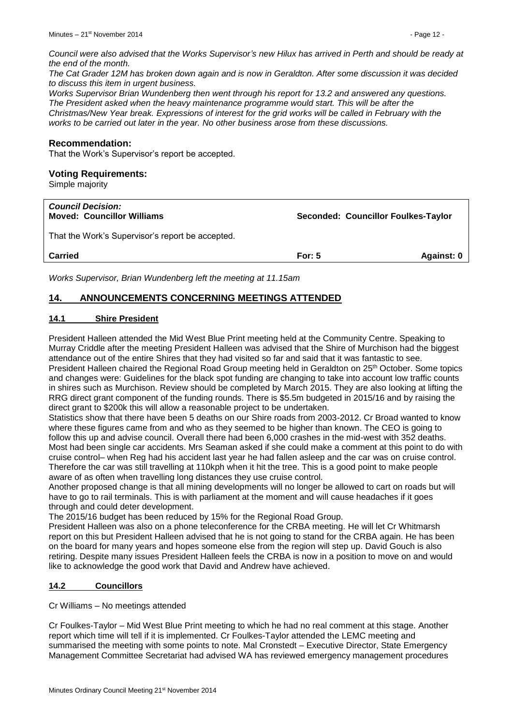*Council were also advised that the Works Supervisor's new Hilux has arrived in Perth and should be ready at the end of the month.*

*The Cat Grader 12M has broken down again and is now in Geraldton. After some discussion it was decided to discuss this item in urgent business.*

*Works Supervisor Brian Wundenberg then went through his report for 13.2 and answered any questions. The President asked when the heavy maintenance programme would start. This will be after the Christmas/New Year break. Expressions of interest for the grid works will be called in February with the works to be carried out later in the year. No other business arose from these discussions.*

#### **Recommendation:**

That the Work's Supervisor's report be accepted.

#### **Voting Requirements:**

Simple majority

| <b>Council Decision:</b><br><b>Moved: Councillor Williams</b> | Seconded: Councillor Foulkes-Taylor |            |  |
|---------------------------------------------------------------|-------------------------------------|------------|--|
| That the Work's Supervisor's report be accepted.              |                                     |            |  |
| <b>Carried</b>                                                | For: $5$                            | Against: 0 |  |
|                                                               |                                     |            |  |

*Works Supervisor, Brian Wundenberg left the meeting at 11.15am*

#### <span id="page-11-0"></span>**14. ANNOUNCEMENTS CONCERNING MEETINGS ATTENDED**

#### <span id="page-11-1"></span>**14.1 Shire President**

President Halleen attended the Mid West Blue Print meeting held at the Community Centre. Speaking to Murray Criddle after the meeting President Halleen was advised that the Shire of Murchison had the biggest attendance out of the entire Shires that they had visited so far and said that it was fantastic to see. President Halleen chaired the Regional Road Group meeting held in Geraldton on 25<sup>th</sup> October. Some topics and changes were: Guidelines for the black spot funding are changing to take into account low traffic counts in shires such as Murchison. Review should be completed by March 2015. They are also looking at lifting the RRG direct grant component of the funding rounds. There is \$5.5m budgeted in 2015/16 and by raising the direct grant to \$200k this will allow a reasonable project to be undertaken.

Statistics show that there have been 5 deaths on our Shire roads from 2003-2012. Cr Broad wanted to know where these figures came from and who as they seemed to be higher than known. The CEO is going to follow this up and advise council. Overall there had been 6,000 crashes in the mid-west with 352 deaths. Most had been single car accidents. Mrs Seaman asked if she could make a comment at this point to do with cruise control– when Reg had his accident last year he had fallen asleep and the car was on cruise control. Therefore the car was still travelling at 110kph when it hit the tree. This is a good point to make people aware of as often when travelling long distances they use cruise control.

Another proposed change is that all mining developments will no longer be allowed to cart on roads but will have to go to rail terminals. This is with parliament at the moment and will cause headaches if it goes through and could deter development.

The 2015/16 budget has been reduced by 15% for the Regional Road Group.

President Halleen was also on a phone teleconference for the CRBA meeting. He will let Cr Whitmarsh report on this but President Halleen advised that he is not going to stand for the CRBA again. He has been on the board for many years and hopes someone else from the region will step up. David Gouch is also retiring. Despite many issues President Halleen feels the CRBA is now in a position to move on and would like to acknowledge the good work that David and Andrew have achieved.

#### <span id="page-11-2"></span>**14.2 Councillors**

Cr Williams – No meetings attended

Cr Foulkes-Taylor – Mid West Blue Print meeting to which he had no real comment at this stage. Another report which time will tell if it is implemented. Cr Foulkes-Taylor attended the LEMC meeting and summarised the meeting with some points to note. Mal Cronstedt – Executive Director, State Emergency Management Committee Secretariat had advised WA has reviewed emergency management procedures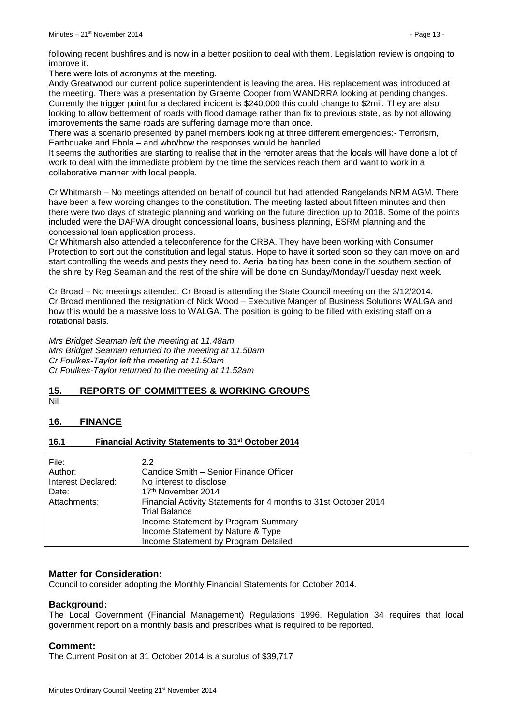following recent bushfires and is now in a better position to deal with them. Legislation review is ongoing to improve it.

There were lots of acronyms at the meeting.

Andy Greatwood our current police superintendent is leaving the area. His replacement was introduced at the meeting. There was a presentation by Graeme Cooper from WANDRRA looking at pending changes. Currently the trigger point for a declared incident is \$240,000 this could change to \$2mil. They are also looking to allow betterment of roads with flood damage rather than fix to previous state, as by not allowing improvements the same roads are suffering damage more than once.

There was a scenario presented by panel members looking at three different emergencies:- Terrorism, Earthquake and Ebola – and who/how the responses would be handled.

It seems the authorities are starting to realise that in the remoter areas that the locals will have done a lot of work to deal with the immediate problem by the time the services reach them and want to work in a collaborative manner with local people.

Cr Whitmarsh – No meetings attended on behalf of council but had attended Rangelands NRM AGM. There have been a few wording changes to the constitution. The meeting lasted about fifteen minutes and then there were two days of strategic planning and working on the future direction up to 2018. Some of the points included were the DAFWA drought concessional loans, business planning, ESRM planning and the concessional loan application process.

Cr Whitmarsh also attended a teleconference for the CRBA. They have been working with Consumer Protection to sort out the constitution and legal status. Hope to have it sorted soon so they can move on and start controlling the weeds and pests they need to. Aerial baiting has been done in the southern section of the shire by Reg Seaman and the rest of the shire will be done on Sunday/Monday/Tuesday next week.

Cr Broad – No meetings attended. Cr Broad is attending the State Council meeting on the 3/12/2014. Cr Broad mentioned the resignation of Nick Wood – Executive Manger of Business Solutions WALGA and how this would be a massive loss to WALGA. The position is going to be filled with existing staff on a rotational basis.

*Mrs Bridget Seaman left the meeting at 11.48am Mrs Bridget Seaman returned to the meeting at 11.50am Cr Foulkes-Taylor left the meeting at 11.50am Cr Foulkes-Taylor returned to the meeting at 11.52am*

### <span id="page-12-0"></span>**15. REPORTS OF COMMITTEES & WORKING GROUPS**

#### Nil

#### <span id="page-12-1"></span>**16. FINANCE**

#### <span id="page-12-2"></span>**16.1 Financial Activity Statements to 31st October 2014**

| File:              | 2.2                                                             |
|--------------------|-----------------------------------------------------------------|
| Author:            | Candice Smith - Senior Finance Officer                          |
| Interest Declared: | No interest to disclose                                         |
| Date:              | 17 <sup>th</sup> November 2014                                  |
| Attachments:       | Financial Activity Statements for 4 months to 31st October 2014 |
|                    | <b>Trial Balance</b>                                            |
|                    | Income Statement by Program Summary                             |
|                    | Income Statement by Nature & Type                               |
|                    | Income Statement by Program Detailed                            |
|                    |                                                                 |

#### **Matter for Consideration:**

Council to consider adopting the Monthly Financial Statements for October 2014.

#### **Background:**

The Local Government (Financial Management) Regulations 1996. Regulation 34 requires that local government report on a monthly basis and prescribes what is required to be reported.

#### **Comment:**

The Current Position at 31 October 2014 is a surplus of \$39,717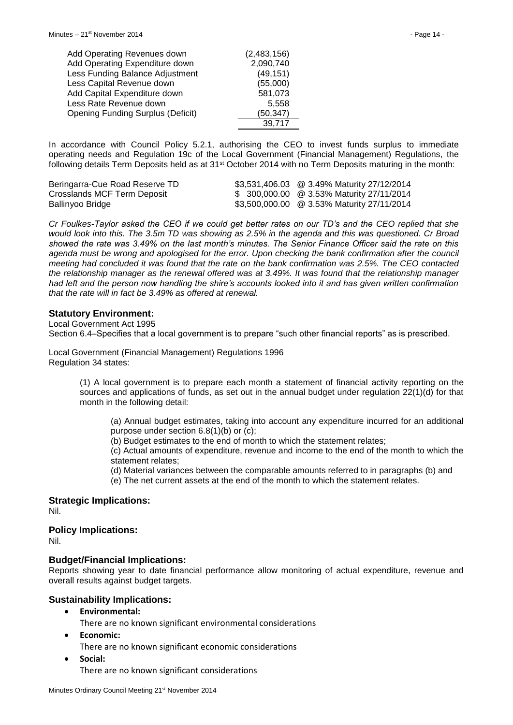| Add Operating Revenues down              | (2,483,156) |
|------------------------------------------|-------------|
| Add Operating Expenditure down           | 2,090,740   |
| Less Funding Balance Adjustment          | (49, 151)   |
| Less Capital Revenue down                | (55,000)    |
| Add Capital Expenditure down             | 581,073     |
| Less Rate Revenue down                   | 5.558       |
| <b>Opening Funding Surplus (Deficit)</b> | (50, 347)   |
|                                          | 39,717      |

In accordance with Council Policy 5.2.1, authorising the CEO to invest funds surplus to immediate operating needs and Regulation 19c of the Local Government (Financial Management) Regulations, the following details Term Deposits held as at 31<sup>st</sup> October 2014 with no Term Deposits maturing in the month:

| Beringarra-Cue Road Reserve TD | \$3,531,406.03 @ 3.49% Maturity 27/12/2014 |
|--------------------------------|--------------------------------------------|
| Crosslands MCF Term Deposit    | \$ 300,000.00 @ 3.53% Maturity 27/11/2014  |
| Ballinyoo Bridge               | \$3,500,000.00 @ 3.53% Maturity 27/11/2014 |

*Cr Foulkes-Taylor asked the CEO if we could get better rates on our TD's and the CEO replied that she would look into this. The 3.5m TD was showing as 2.5% in the agenda and this was questioned. Cr Broad showed the rate was 3.49% on the last month's minutes. The Senior Finance Officer said the rate on this agenda must be wrong and apologised for the error. Upon checking the bank confirmation after the council meeting had concluded it was found that the rate on the bank confirmation was 2.5%. The CEO contacted the relationship manager as the renewal offered was at 3.49%. It was found that the relationship manager had left and the person now handling the shire's accounts looked into it and has given written confirmation that the rate will in fact be 3.49% as offered at renewal.*

#### **Statutory Environment:**

Local Government Act 1995 Section 6.4–Specifies that a local government is to prepare "such other financial reports" as is prescribed.

Local Government (Financial Management) Regulations 1996 Regulation 34 states:

> (1) A local government is to prepare each month a statement of financial activity reporting on the sources and applications of funds, as set out in the annual budget under regulation 22(1)(d) for that month in the following detail:

(a) Annual budget estimates, taking into account any expenditure incurred for an additional purpose under section 6.8(1)(b) or (c);

(b) Budget estimates to the end of month to which the statement relates;

(c) Actual amounts of expenditure, revenue and income to the end of the month to which the statement relates;

(d) Material variances between the comparable amounts referred to in paragraphs (b) and

(e) The net current assets at the end of the month to which the statement relates.

**Strategic Implications:** Nil.

**Policy Implications:**

Nil.

#### **Budget/Financial Implications:**

Reports showing year to date financial performance allow monitoring of actual expenditure, revenue and overall results against budget targets.

#### **Sustainability Implications:**

**Environmental:**

There are no known significant environmental considerations

- **Economic:**
	- There are no known significant economic considerations
- **Social:**

There are no known significant considerations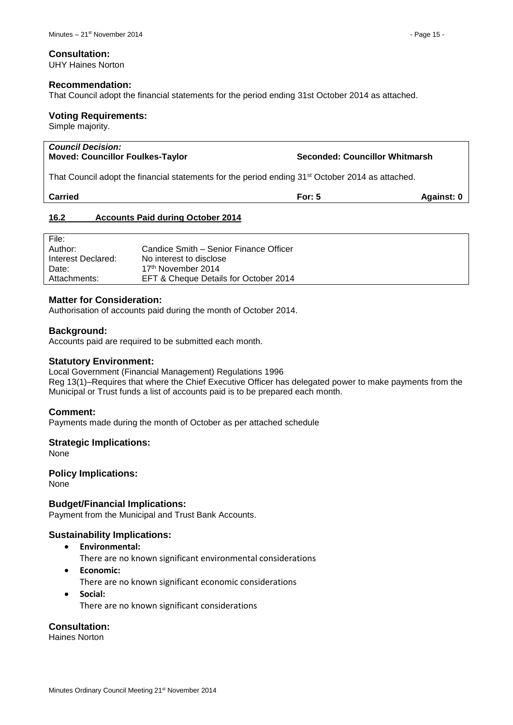#### **Consultation:**

UHY Haines Norton

#### **Recommendation:**

That Council adopt the financial statements for the period ending 31st October 2014 as attached.

#### **Voting Requirements:**

Simple majority.

| <b>Council Decision:</b><br><b>Moved: Councillor Foulkes-Taylor</b>                                          | Seconded: Councillor Whitmarsh |            |
|--------------------------------------------------------------------------------------------------------------|--------------------------------|------------|
| That Council adopt the financial statements for the period ending 31 <sup>st</sup> October 2014 as attached. |                                |            |
| <b>Carried</b>                                                                                               | For: $5$                       | Against: 0 |
|                                                                                                              |                                |            |

#### <span id="page-14-0"></span>**16.2 Accounts Paid during October 2014**

| File:              |                                        |
|--------------------|----------------------------------------|
| Author:            | Candice Smith – Senior Finance Officer |
| Interest Declared: | No interest to disclose                |
| Date:              | 17 <sup>th</sup> November 2014         |
| Attachments:       | EFT & Cheque Details for October 2014  |

#### **Matter for Consideration:**

Authorisation of accounts paid during the month of October 2014.

#### **Background:**

Accounts paid are required to be submitted each month.

#### **Statutory Environment:**

Local Government (Financial Management) Regulations 1996 Reg 13(1)–Requires that where the Chief Executive Officer has delegated power to make payments from the Municipal or Trust funds a list of accounts paid is to be prepared each month.

#### **Comment:**

Payments made during the month of October as per attached schedule

#### **Strategic Implications:**

None

#### **Policy Implications:**

None

#### **Budget/Financial Implications:**

Payment from the Municipal and Trust Bank Accounts.

#### **Sustainability Implications:**

- **Environmental:**
	- There are no known significant environmental considerations
- **Economic:**
	- There are no known significant economic considerations
- **Social:** There are no known significant considerations

**Consultation:**

Haines Norton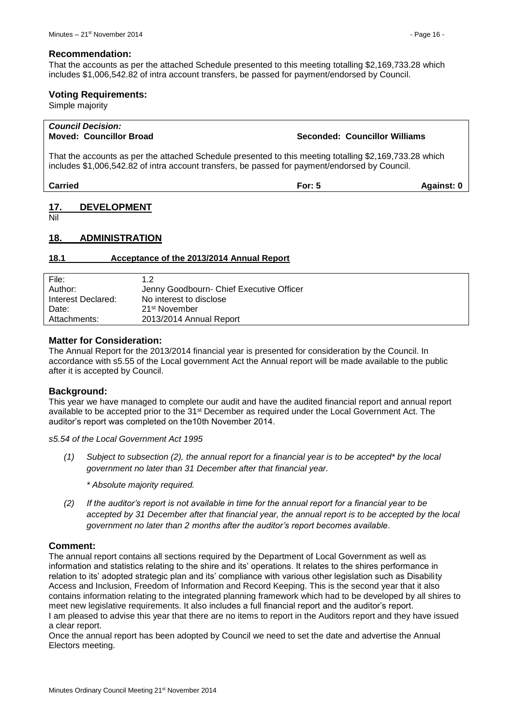That the accounts as per the attached Schedule presented to this meeting totalling \$2,169,733.28 which includes \$1,006,542.82 of intra account transfers, be passed for payment/endorsed by Council.

#### **Voting Requirements:**

Simple majority

## *Council Decision:*

#### **Moved: Councillor Broad Seconded: Councillor Williams**

That the accounts as per the attached Schedule presented to this meeting totalling \$2,169,733.28 which includes \$1,006,542.82 of intra account transfers, be passed for payment/endorsed by Council.

**Carried For: 5 Against: 0**

#### <span id="page-15-0"></span>**17. DEVELOPMENT**

Nil

#### <span id="page-15-1"></span>**18. ADMINISTRATION**

#### <span id="page-15-2"></span>**18.1 Acceptance of the 2013/2014 Annual Report**

| File:              | 1.2                                      |
|--------------------|------------------------------------------|
| Author:            | Jenny Goodbourn- Chief Executive Officer |
| Interest Declared: | No interest to disclose                  |
| Date:              | 21 <sup>st</sup> November                |
| Attachments:       | 2013/2014 Annual Report                  |

#### **Matter for Consideration:**

The Annual Report for the 2013/2014 financial year is presented for consideration by the Council. In accordance with s5.55 of the Local government Act the Annual report will be made available to the public after it is accepted by Council.

#### **Background:**

This year we have managed to complete our audit and have the audited financial report and annual report available to be accepted prior to the 31st December as required under the Local Government Act. The auditor's report was completed on the10th November 2014.

*s5.54 of the Local Government Act 1995*

*(1) Subject to subsection (2), the annual report for a financial year is to be accepted\* by the local government no later than 31 December after that financial year.*

*\* Absolute majority required.*

*(2) If the auditor's report is not available in time for the annual report for a financial year to be accepted by 31 December after that financial year, the annual report is to be accepted by the local government no later than 2 months after the auditor's report becomes available*.

#### **Comment:**

The annual report contains all sections required by the Department of Local Government as well as information and statistics relating to the shire and its' operations. It relates to the shires performance in relation to its' adopted strategic plan and its' compliance with various other legislation such as Disability Access and Inclusion, Freedom of Information and Record Keeping. This is the second year that it also contains information relating to the integrated planning framework which had to be developed by all shires to meet new legislative requirements. It also includes a full financial report and the auditor's report. I am pleased to advise this year that there are no items to report in the Auditors report and they have issued a clear report.

Once the annual report has been adopted by Council we need to set the date and advertise the Annual Electors meeting.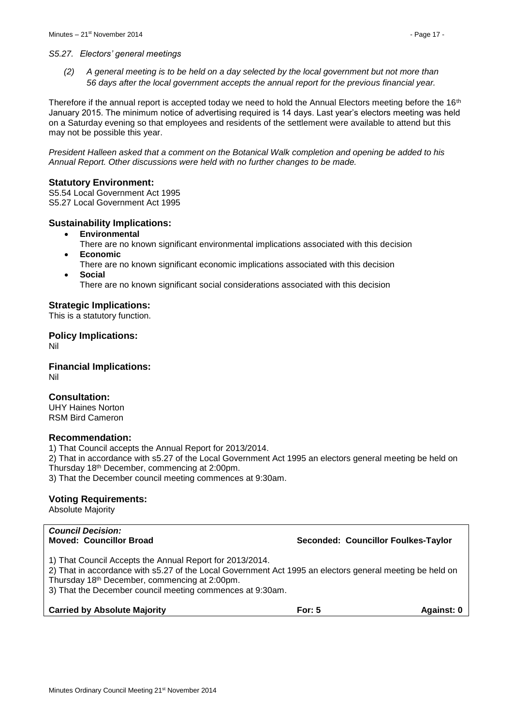#### *S5.27. Electors' general meetings*

*(2) A general meeting is to be held on a day selected by the local government but not more than 56 days after the local government accepts the annual report for the previous financial year.* 

Therefore if the annual report is accepted today we need to hold the Annual Electors meeting before the 16<sup>th</sup> January 2015. The minimum notice of advertising required is 14 days. Last year's electors meeting was held on a Saturday evening so that employees and residents of the settlement were available to attend but this may not be possible this year.

*President Halleen asked that a comment on the Botanical Walk completion and opening be added to his Annual Report. Other discussions were held with no further changes to be made.*

#### **Statutory Environment:**

S5.54 Local Government Act 1995 S5.27 Local Government Act 1995

#### **Sustainability Implications:**

**Environmental**

There are no known significant environmental implications associated with this decision **Economic**

- There are no known significant economic implications associated with this decision
- **Social** There are no known significant social considerations associated with this decision

#### **Strategic Implications:**

This is a statutory function.

**Policy Implications:** Nil

**Financial Implications:** Nil

#### **Consultation:**

UHY Haines Norton RSM Bird Cameron

#### **Recommendation:**

1) That Council accepts the Annual Report for 2013/2014.

2) That in accordance with s5.27 of the Local Government Act 1995 an electors general meeting be held on Thursday 18th December, commencing at 2:00pm.

3) That the December council meeting commences at 9:30am.

#### **Voting Requirements:**

Absolute Majority

| <b>Council Decision:</b><br><b>Moved: Councillor Broad</b>                                                                                                                                                                                                                                     |          | Seconded: Councillor Foulkes-Taylor |
|------------------------------------------------------------------------------------------------------------------------------------------------------------------------------------------------------------------------------------------------------------------------------------------------|----------|-------------------------------------|
| 1) That Council Accepts the Annual Report for 2013/2014.<br>2) That in accordance with s5.27 of the Local Government Act 1995 an electors general meeting be held on<br>Thursday 18 <sup>th</sup> December, commencing at 2:00pm.<br>3) That the December council meeting commences at 9:30am. |          |                                     |
| <b>Carried by Absolute Majority</b>                                                                                                                                                                                                                                                            | For: $5$ | Against: 0                          |
|                                                                                                                                                                                                                                                                                                |          |                                     |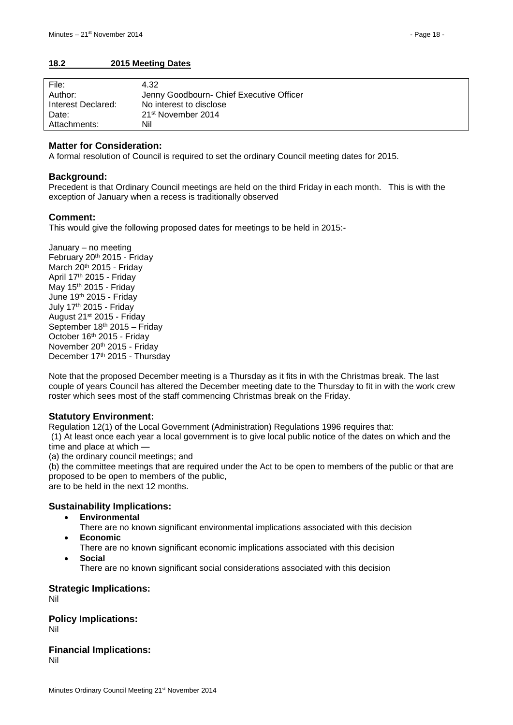#### <span id="page-17-0"></span>**18.2 2015 Meeting Dates**

| File:              | 4.32                                     |
|--------------------|------------------------------------------|
| Author:            | Jenny Goodbourn- Chief Executive Officer |
| Interest Declared: | No interest to disclose                  |
| Date:              | 21 <sup>st</sup> November 2014           |
| Attachments:       | Nil                                      |

#### **Matter for Consideration:**

A formal resolution of Council is required to set the ordinary Council meeting dates for 2015.

#### **Background:**

Precedent is that Ordinary Council meetings are held on the third Friday in each month. This is with the exception of January when a recess is traditionally observed

#### **Comment:**

This would give the following proposed dates for meetings to be held in 2015:-

January – no meeting February 20th 2015 - Friday March 20<sup>th</sup> 2015 - Friday April 17th 2015 - Friday May 15th 2015 - Friday June 19th 2015 - Friday July 17th 2015 - Friday August 21st 2015 - Friday September 18th 2015 – Friday October 16<sup>th</sup> 2015 - Friday November 20th 2015 - Friday December 17th 2015 - Thursday

Note that the proposed December meeting is a Thursday as it fits in with the Christmas break. The last couple of years Council has altered the December meeting date to the Thursday to fit in with the work crew roster which sees most of the staff commencing Christmas break on the Friday.

#### **Statutory Environment:**

Regulation 12(1) of the Local Government (Administration) Regulations 1996 requires that: (1) At least once each year a local government is to give local public notice of the dates on which and the time and place at which —

(a) the ordinary council meetings; and

(b) the committee meetings that are required under the Act to be open to members of the public or that are proposed to be open to members of the public,

are to be held in the next 12 months.

#### **Sustainability Implications:**

- **Environmental**
	- There are no known significant environmental implications associated with this decision
- **Economic**
	- There are no known significant economic implications associated with this decision **Social**
		- There are no known significant social considerations associated with this decision

#### **Strategic Implications:**

Nil

**Policy Implications:** Nil

**Financial Implications:** Nil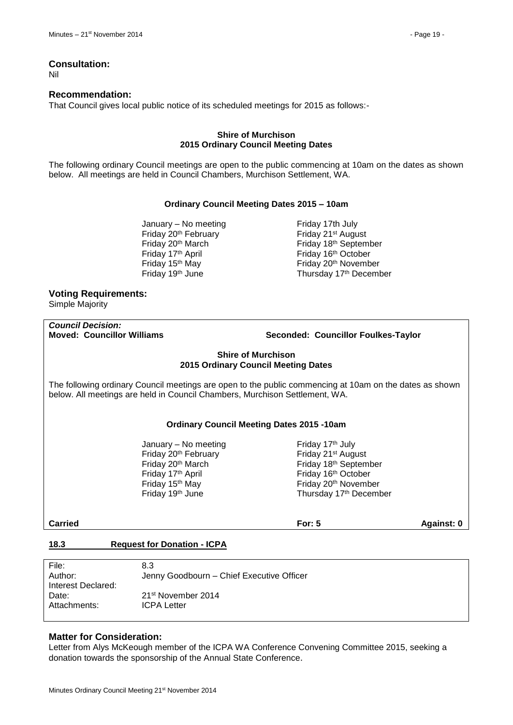#### **Consultation:**

Nil

#### **Recommendation:**

That Council gives local public notice of its scheduled meetings for 2015 as follows:-

#### **Shire of Murchison 2015 Ordinary Council Meeting Dates**

The following ordinary Council meetings are open to the public commencing at 10am on the dates as shown below. All meetings are held in Council Chambers, Murchison Settlement, WA.

#### **Ordinary Council Meeting Dates 2015 – 10am**

January – No meeting Friday 17th July Friday 20<sup>th</sup> February **Friday 21<sup>st</sup>** August Friday 17<sup>th</sup> April **Friday 16<sup>th</sup> October** 

Friday 20th March Friday 18th September Friday 15<sup>th</sup> May Friday 20<sup>th</sup> November Friday 19<sup>th</sup> June Thursday 17<sup>th</sup> December

#### **Voting Requirements:**

Simple Majority

## *Council Decision:*

#### **Moved: Councillor Williams Seconded: Councillor Foulkes-Taylor**

#### **Shire of Murchison 2015 Ordinary Council Meeting Dates**

The following ordinary Council meetings are open to the public commencing at 10am on the dates as shown below. All meetings are held in Council Chambers, Murchison Settlement, WA.

#### **Ordinary Council Meeting Dates 2015 -10am**

January – No meeting  $\qquad \qquad$  Friday 17<sup>th</sup> July Friday 20<sup>th</sup> February **Friday 21<sup>st</sup>** August Friday 17<sup>th</sup> April **Friday 16<sup>th</sup> October** 

Friday 20<sup>th</sup> March **Friday 18<sup>th</sup> September** Friday 15<sup>th</sup> May **Friday 20<sup>th</sup> November** Friday 19<sup>th</sup> June Thursday 17<sup>th</sup> December

**Carried For: 5 Against: 0**

#### <span id="page-18-0"></span>**18.3 Request for Donation - ICPA**

| File:              | 8.3                                       |
|--------------------|-------------------------------------------|
| Author:            | Jenny Goodbourn - Chief Executive Officer |
| Interest Declared: |                                           |
| Date:              | 21 <sup>st</sup> November 2014            |
| Attachments:       | <b>ICPA Letter</b>                        |
|                    |                                           |

#### **Matter for Consideration:**

Letter from Alys McKeough member of the ICPA WA Conference Convening Committee 2015, seeking a donation towards the sponsorship of the Annual State Conference.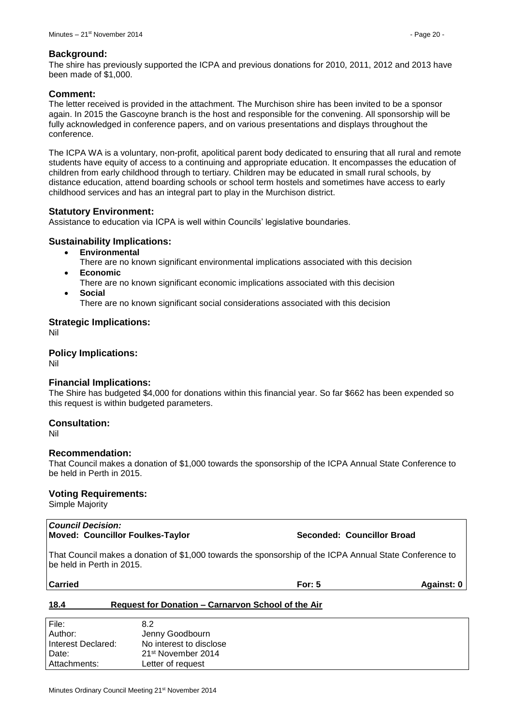#### **Background:**

The shire has previously supported the ICPA and previous donations for 2010, 2011, 2012 and 2013 have been made of \$1,000.

#### **Comment:**

The letter received is provided in the attachment. The Murchison shire has been invited to be a sponsor again. In 2015 the Gascoyne branch is the host and responsible for the convening. All sponsorship will be fully acknowledged in conference papers, and on various presentations and displays throughout the conference.

The ICPA WA is a voluntary, non-profit, apolitical parent body dedicated to ensuring that all rural and remote students have equity of access to a continuing and appropriate education. It encompasses the education of children from early childhood through to tertiary. Children may be educated in small rural schools, by distance education, attend boarding schools or school term hostels and sometimes have access to early childhood services and has an integral part to play in the Murchison district.

#### **Statutory Environment:**

Assistance to education via ICPA is well within Councils' legislative boundaries.

#### **Sustainability Implications:**

- **Environmental**
	- There are no known significant environmental implications associated with this decision **Economic**
- There are no known significant economic implications associated with this decision **Social**

There are no known significant social considerations associated with this decision

#### **Strategic Implications:**

Nil

#### **Policy Implications:**

Nil

#### **Financial Implications:**

The Shire has budgeted \$4,000 for donations within this financial year. So far \$662 has been expended so this request is within budgeted parameters.

#### **Consultation:**

Nil

#### **Recommendation:**

That Council makes a donation of \$1,000 towards the sponsorship of the ICPA Annual State Conference to be held in Perth in 2015.

#### **Voting Requirements:**

Simple Majority

#### *Council Decision:* **Moved: Councillor Foulkes-Taylor Seconded: Councillor Broad**

That Council makes a donation of \$1,000 towards the sponsorship of the ICPA Annual State Conference to be held in Perth in 2015.

| arrı |     |  |
|------|-----|--|
| ٠    | ľ÷. |  |
|      |     |  |

**Carried For: 5 Against: 0**

#### <span id="page-19-0"></span>**18.4 Request for Donation – Carnarvon School of the Air**

| File:              | 8.2                            |
|--------------------|--------------------------------|
| Author:            | Jenny Goodbourn                |
| Interest Declared: | No interest to disclose        |
| Date:              | 21 <sup>st</sup> November 2014 |
| Attachments:       | Letter of request              |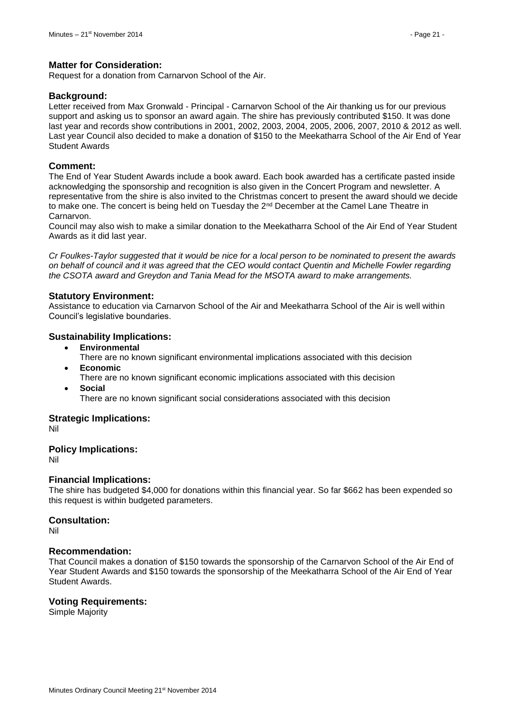#### **Matter for Consideration:**

Request for a donation from Carnarvon School of the Air.

#### **Background:**

Letter received from Max Gronwald - Principal - Carnarvon School of the Air thanking us for our previous support and asking us to sponsor an award again. The shire has previously contributed \$150. It was done last year and records show contributions in 2001, 2002, 2003, 2004, 2005, 2006, 2007, 2010 & 2012 as well. Last year Council also decided to make a donation of \$150 to the Meekatharra School of the Air End of Year Student Awards

#### **Comment:**

The End of Year Student Awards include a book award. Each book awarded has a certificate pasted inside acknowledging the sponsorship and recognition is also given in the Concert Program and newsletter. A representative from the shire is also invited to the Christmas concert to present the award should we decide to make one. The concert is being held on Tuesday the 2<sup>nd</sup> December at the Camel Lane Theatre in Carnarvon.

Council may also wish to make a similar donation to the Meekatharra School of the Air End of Year Student Awards as it did last year.

*Cr Foulkes-Taylor suggested that it would be nice for a local person to be nominated to present the awards on behalf of council and it was agreed that the CEO would contact Quentin and Michelle Fowler regarding the CSOTA award and Greydon and Tania Mead for the MSOTA award to make arrangements.* 

#### **Statutory Environment:**

Assistance to education via Carnarvon School of the Air and Meekatharra School of the Air is well within Council's legislative boundaries.

#### **Sustainability Implications:**

- **Environmental**
	- There are no known significant environmental implications associated with this decision
- **Economic**
	- There are no known significant economic implications associated with this decision
- **Social**
	- There are no known significant social considerations associated with this decision

#### **Strategic Implications:**

Nil

#### **Policy Implications:**

Nil

#### **Financial Implications:**

The shire has budgeted \$4,000 for donations within this financial year. So far \$662 has been expended so this request is within budgeted parameters.

#### **Consultation:**

Nil

#### **Recommendation:**

That Council makes a donation of \$150 towards the sponsorship of the Carnarvon School of the Air End of Year Student Awards and \$150 towards the sponsorship of the Meekatharra School of the Air End of Year Student Awards.

#### **Voting Requirements:**

Simple Majority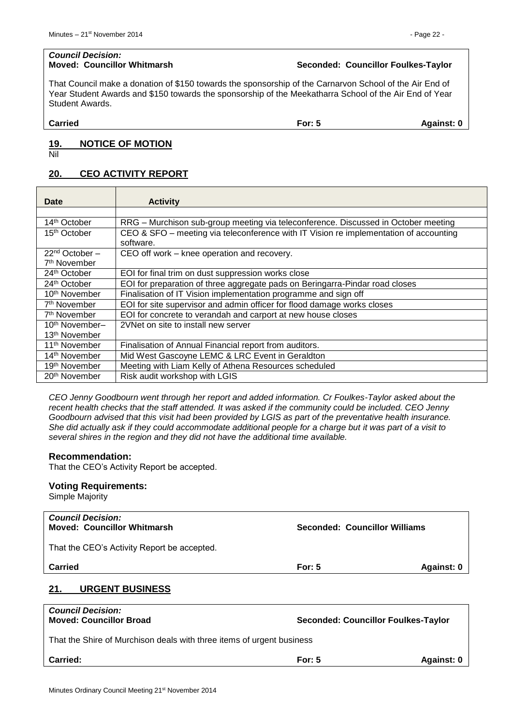## *Council Decision:*

#### **Moved: Councillor Whitmarsh Seconded: Councillor Foulkes-Taylor**

That Council make a donation of \$150 towards the sponsorship of the Carnarvon School of the Air End of Year Student Awards and \$150 towards the sponsorship of the Meekatharra School of the Air End of Year Student Awards.

**Carried For: 5 Against: 0**

#### <span id="page-21-0"></span>**19. NOTICE OF MOTION**

Nil

#### <span id="page-21-1"></span>**20. CEO ACTIVITY REPORT**

| Date                       | <b>Activity</b>                                                                                    |
|----------------------------|----------------------------------------------------------------------------------------------------|
|                            |                                                                                                    |
| 14 <sup>th</sup> October   | RRG - Murchison sub-group meeting via teleconference. Discussed in October meeting                 |
| 15 <sup>th</sup> October   | CEO & SFO – meeting via teleconference with IT Vision re implementation of accounting<br>software. |
| $22nd$ October $-$         | CEO off work – knee operation and recovery.                                                        |
| 7 <sup>th</sup> November   |                                                                                                    |
| 24 <sup>th</sup> October   | EOI for final trim on dust suppression works close                                                 |
| 24 <sup>th</sup> October   | EOI for preparation of three aggregate pads on Beringarra-Pindar road closes                       |
| 10 <sup>th</sup> November  | Finalisation of IT Vision implementation programme and sign off                                    |
| 7 <sup>th</sup> November   | EOI for site supervisor and admin officer for flood damage works closes                            |
| 7 <sup>th</sup> November   | EOI for concrete to verandah and carport at new house closes                                       |
| 10 <sup>th</sup> November- | 2VNet on site to install new server                                                                |
| 13 <sup>th</sup> November  |                                                                                                    |
| 11 <sup>th</sup> November  | Finalisation of Annual Financial report from auditors.                                             |
| 14 <sup>th</sup> November  | Mid West Gascoyne LEMC & LRC Event in Geraldton                                                    |
| 19 <sup>th</sup> November  | Meeting with Liam Kelly of Athena Resources scheduled                                              |
| 20 <sup>th</sup> November  | Risk audit workshop with LGIS                                                                      |

*CEO Jenny Goodbourn went through her report and added information. Cr Foulkes-Taylor asked about the recent health checks that the staff attended. It was asked if the community could be included. CEO Jenny Goodbourn advised that this visit had been provided by LGIS as part of the preventative health insurance. She did actually ask if they could accommodate additional people for a charge but it was part of a visit to several shires in the region and they did not have the additional time available.*

#### **Recommendation:**

That the CEO's Activity Report be accepted.

#### **Voting Requirements:**

Simple Majority

<span id="page-21-2"></span>

| <b>Council Decision:</b><br><b>Moved: Councillor Whitmarsh</b>                                           | Seconded: Councillor Williams |  |
|----------------------------------------------------------------------------------------------------------|-------------------------------|--|
| That the CEO's Activity Report be accepted.                                                              |                               |  |
| <b>Carried</b>                                                                                           | For: $5$<br>Against: 0        |  |
| <b>URGENT BUSINESS</b><br>21.                                                                            |                               |  |
| <b>Council Decision:</b><br><b>Moved: Councillor Broad</b><br><b>Seconded: Councillor Foulkes-Taylor</b> |                               |  |
| That the Shire of Murchison deals with three items of urgent business                                    |                               |  |